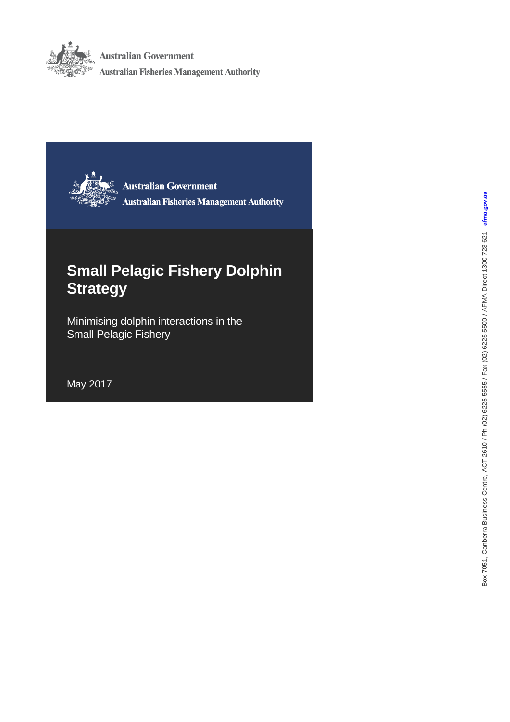

**Australian Government** 

**Australian Fisheries Management Authority** 



**Australian Government Australian Fisheries Management Authority** 

# **Small Pelagic Fishery Dolphin Strategy**

Minimising dolphin interactions in the Small Pelagic Fishery

May 2017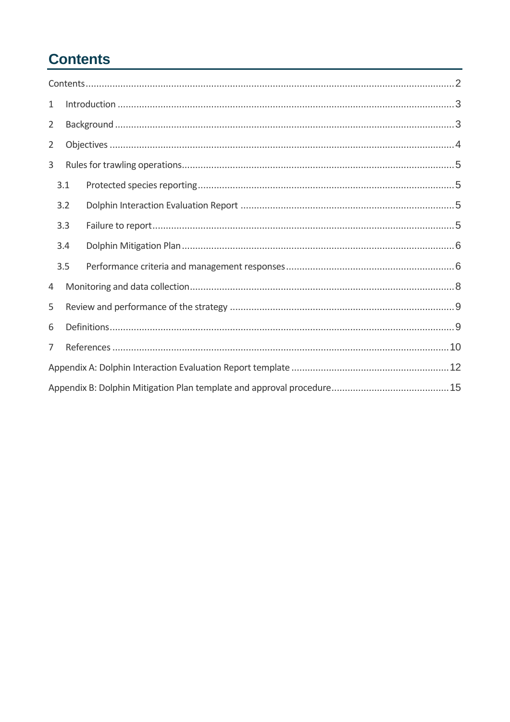# <span id="page-1-0"></span>**Contents**

| 1              |     |  |  |  |
|----------------|-----|--|--|--|
| $\overline{2}$ |     |  |  |  |
| 2              |     |  |  |  |
| 3              |     |  |  |  |
|                | 3.1 |  |  |  |
|                | 3.2 |  |  |  |
|                | 3.3 |  |  |  |
|                | 3.4 |  |  |  |
|                | 3.5 |  |  |  |
| 4              |     |  |  |  |
| 5              |     |  |  |  |
| 6              |     |  |  |  |
| 7              |     |  |  |  |
|                |     |  |  |  |
|                |     |  |  |  |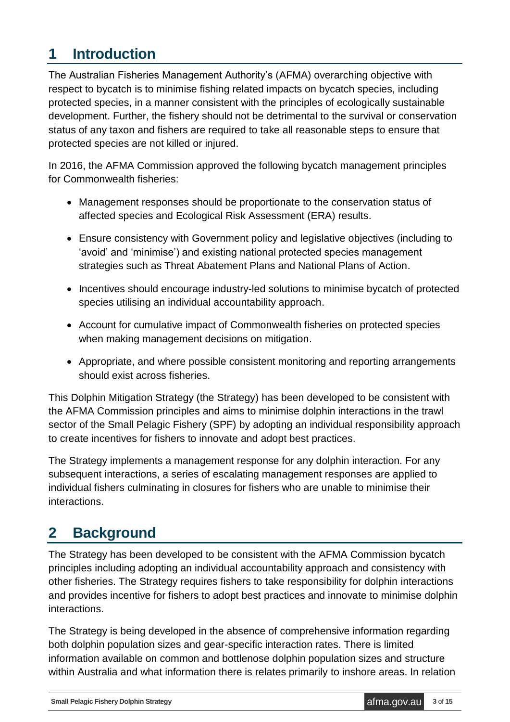## <span id="page-2-0"></span>**1 Introduction**

The Australian Fisheries Management Authority's (AFMA) overarching objective with respect to bycatch is to minimise fishing related impacts on bycatch species, including protected species, in a manner consistent with the principles of ecologically sustainable development. Further, the fishery should not be detrimental to the survival or conservation status of any taxon and fishers are required to take all reasonable steps to ensure that protected species are not killed or injured.

In 2016, the AFMA Commission approved the following bycatch management principles for Commonwealth fisheries:

- Management responses should be proportionate to the conservation status of affected species and Ecological Risk Assessment (ERA) results.
- Ensure consistency with Government policy and legislative objectives (including to 'avoid' and 'minimise') and existing national protected species management strategies such as Threat Abatement Plans and National Plans of Action.
- Incentives should encourage industry-led solutions to minimise bycatch of protected species utilising an individual accountability approach.
- Account for cumulative impact of Commonwealth fisheries on protected species when making management decisions on mitigation.
- Appropriate, and where possible consistent monitoring and reporting arrangements should exist across fisheries.

This Dolphin Mitigation Strategy (the Strategy) has been developed to be consistent with the AFMA Commission principles and aims to minimise dolphin interactions in the trawl sector of the Small Pelagic Fishery (SPF) by adopting an individual responsibility approach to create incentives for fishers to innovate and adopt best practices.

The Strategy implements a management response for any dolphin interaction. For any subsequent interactions, a series of escalating management responses are applied to individual fishers culminating in closures for fishers who are unable to minimise their interactions.

# <span id="page-2-1"></span>**2 Background**

The Strategy has been developed to be consistent with the AFMA Commission bycatch principles including adopting an individual accountability approach and consistency with other fisheries. The Strategy requires fishers to take responsibility for dolphin interactions and provides incentive for fishers to adopt best practices and innovate to minimise dolphin interactions.

The Strategy is being developed in the absence of comprehensive information regarding both dolphin population sizes and gear-specific interaction rates. There is limited information available on common and bottlenose dolphin population sizes and structure within Australia and what information there is relates primarily to inshore areas. In relation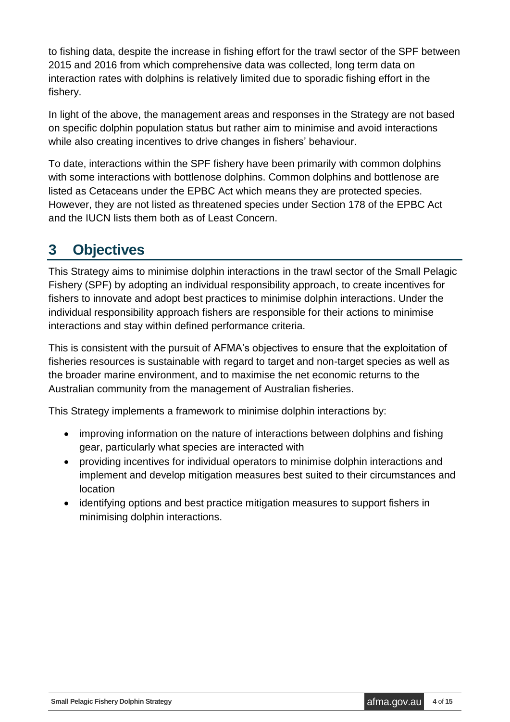to fishing data, despite the increase in fishing effort for the trawl sector of the SPF between 2015 and 2016 from which comprehensive data was collected, long term data on interaction rates with dolphins is relatively limited due to sporadic fishing effort in the fishery.

In light of the above, the management areas and responses in the Strategy are not based on specific dolphin population status but rather aim to minimise and avoid interactions while also creating incentives to drive changes in fishers' behaviour.

To date, interactions within the SPF fishery have been primarily with common dolphins with some interactions with bottlenose dolphins. Common dolphins and bottlenose are listed as Cetaceans under the EPBC Act which means they are protected species. However, they are not listed as threatened species under Section 178 of the EPBC Act and the IUCN lists them both as of Least Concern.

## <span id="page-3-0"></span>**3 Objectives**

This Strategy aims to minimise dolphin interactions in the trawl sector of the Small Pelagic Fishery (SPF) by adopting an individual responsibility approach, to create incentives for fishers to innovate and adopt best practices to minimise dolphin interactions. Under the individual responsibility approach fishers are responsible for their actions to minimise interactions and stay within defined performance criteria.

This is consistent with the pursuit of AFMA's objectives to ensure that the exploitation of fisheries resources is sustainable with regard to target and non-target species as well as the broader marine environment, and to maximise the net economic returns to the Australian community from the management of Australian fisheries.

This Strategy implements a framework to minimise dolphin interactions by:

- improving information on the nature of interactions between dolphins and fishing gear, particularly what species are interacted with
- providing incentives for individual operators to minimise dolphin interactions and implement and develop mitigation measures best suited to their circumstances and location
- identifying options and best practice mitigation measures to support fishers in minimising dolphin interactions.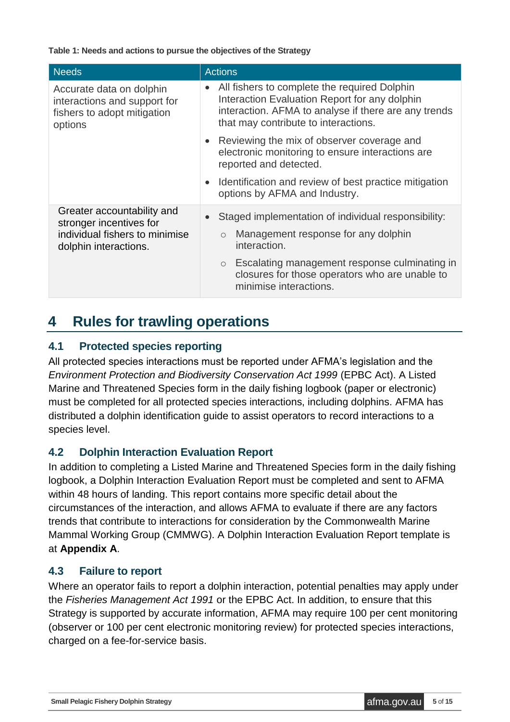**Table 1: Needs and actions to pursue the objectives of the Strategy**

| <b>Needs</b>                                                                                                     | <b>Actions</b>                                                                                                                                                                                |
|------------------------------------------------------------------------------------------------------------------|-----------------------------------------------------------------------------------------------------------------------------------------------------------------------------------------------|
| Accurate data on dolphin<br>interactions and support for<br>fishers to adopt mitigation<br>options               | All fishers to complete the required Dolphin<br>Interaction Evaluation Report for any dolphin<br>interaction. AFMA to analyse if there are any trends<br>that may contribute to interactions. |
|                                                                                                                  | • Reviewing the mix of observer coverage and<br>electronic monitoring to ensure interactions are<br>reported and detected.                                                                    |
|                                                                                                                  | Identification and review of best practice mitigation<br>options by AFMA and Industry.                                                                                                        |
| Greater accountability and<br>stronger incentives for<br>individual fishers to minimise<br>dolphin interactions. | Staged implementation of individual responsibility:<br>Management response for any dolphin<br>$\circ$<br>interaction.                                                                         |
|                                                                                                                  | Escalating management response culminating in<br>$\circ$<br>closures for those operators who are unable to<br>minimise interactions.                                                          |

### <span id="page-4-0"></span>**4 Rules for trawling operations**

#### <span id="page-4-1"></span>**4.1 Protected species reporting**

All protected species interactions must be reported under AFMA's legislation and the *Environment Protection and Biodiversity Conservation Act 1999* (EPBC Act). A Listed Marine and Threatened Species form in the daily fishing logbook (paper or electronic) must be completed for all protected species interactions, including dolphins. AFMA has distributed a dolphin identification guide to assist operators to record interactions to a species level.

#### <span id="page-4-2"></span>**4.2 Dolphin Interaction Evaluation Report**

In addition to completing a Listed Marine and Threatened Species form in the daily fishing logbook, a Dolphin Interaction Evaluation Report must be completed and sent to AFMA within 48 hours of landing. This report contains more specific detail about the circumstances of the interaction, and allows AFMA to evaluate if there are any factors trends that contribute to interactions for consideration by the Commonwealth Marine Mammal Working Group (CMMWG). A Dolphin Interaction Evaluation Report template is at **Appendix A**.

#### <span id="page-4-3"></span>**4.3 Failure to report**

Where an operator fails to report a dolphin interaction, potential penalties may apply under the *Fisheries Management Act 1991* or the EPBC Act. In addition, to ensure that this Strategy is supported by accurate information, AFMA may require 100 per cent monitoring (observer or 100 per cent electronic monitoring review) for protected species interactions, charged on a fee-for-service basis.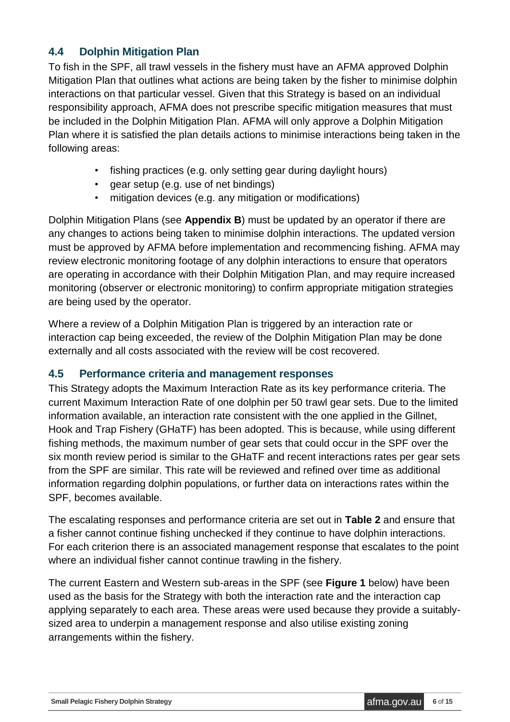#### <span id="page-5-0"></span>**4.4 Dolphin Mitigation Plan**

To fish in the SPF, all trawl vessels in the fishery must have an AFMA approved Dolphin Mitigation Plan that outlines what actions are being taken by the fisher to minimise dolphin interactions on that particular vessel. Given that this Strategy is based on an individual responsibility approach, AFMA does not prescribe specific mitigation measures that must be included in the Dolphin Mitigation Plan. AFMA will only approve a Dolphin Mitigation Plan where it is satisfied the plan details actions to minimise interactions being taken in the following areas:

- fishing practices (e.g. only setting gear during daylight hours)
- gear setup (e.g. use of net bindings)
- mitigation devices (e.g. any mitigation or modifications)

Dolphin Mitigation Plans (see **Appendix B**) must be updated by an operator if there are any changes to actions being taken to minimise dolphin interactions. The updated version must be approved by AFMA before implementation and recommencing fishing. AFMA may review electronic monitoring footage of any dolphin interactions to ensure that operators are operating in accordance with their Dolphin Mitigation Plan, and may require increased monitoring (observer or electronic monitoring) to confirm appropriate mitigation strategies are being used by the operator.

Where a review of a Dolphin Mitigation Plan is triggered by an interaction rate or interaction cap being exceeded, the review of the Dolphin Mitigation Plan may be done externally and all costs associated with the review will be cost recovered.

#### <span id="page-5-1"></span>**4.5 Performance criteria and management responses**

This Strategy adopts the Maximum Interaction Rate as its key performance criteria. The current Maximum Interaction Rate of one dolphin per 50 trawl gear sets. Due to the limited information available, an interaction rate consistent with the one applied in the Gillnet, Hook and Trap Fishery (GHaTF) has been adopted. This is because, while using different fishing methods, the maximum number of gear sets that could occur in the SPF over the six month review period is similar to the GHaTF and recent interactions rates per gear sets from the SPF are similar. This rate will be reviewed and refined over time as additional information regarding dolphin populations, or further data on interactions rates within the SPF, becomes available.

The escalating responses and performance criteria are set out in **Table 2** and ensure that a fisher cannot continue fishing unchecked if they continue to have dolphin interactions. For each criterion there is an associated management response that escalates to the point where an individual fisher cannot continue trawling in the fishery.

The current Eastern and Western sub-areas in the SPF (see **Figure 1** below) have been used as the basis for the Strategy with both the interaction rate and the interaction cap applying separately to each area. These areas were used because they provide a suitablysized area to underpin a management response and also utilise existing zoning arrangements within the fishery.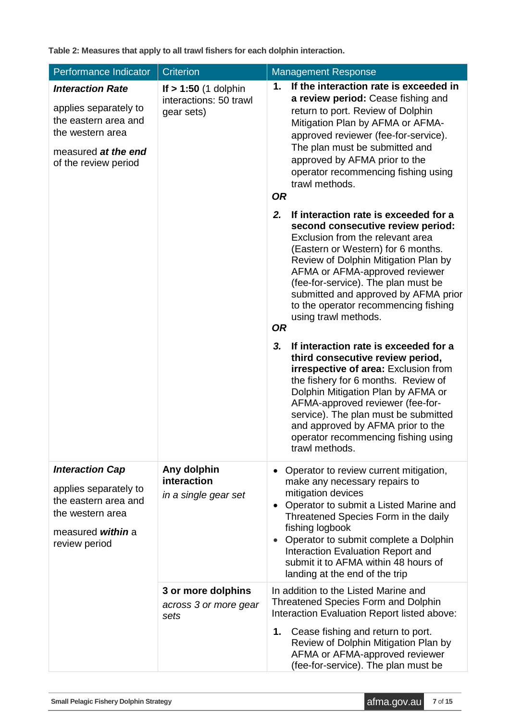**Table 2: Measures that apply to all trawl fishers for each dolphin interaction.**

| Performance Indicator                                                                                                                       | <b>Criterion</b>                                               | <b>Management Response</b>                                                                                                                                                                                                                                                                                                                                                                                                                                                                                                                                                                                                                                                                                                                                                                |  |  |
|---------------------------------------------------------------------------------------------------------------------------------------------|----------------------------------------------------------------|-------------------------------------------------------------------------------------------------------------------------------------------------------------------------------------------------------------------------------------------------------------------------------------------------------------------------------------------------------------------------------------------------------------------------------------------------------------------------------------------------------------------------------------------------------------------------------------------------------------------------------------------------------------------------------------------------------------------------------------------------------------------------------------------|--|--|
| <b>Interaction Rate</b><br>applies separately to<br>the eastern area and<br>the western area<br>measured at the end<br>of the review period | If $> 1:50$ (1 dolphin<br>interactions: 50 trawl<br>gear sets) | If the interaction rate is exceeded in<br>1.<br>a review period: Cease fishing and<br>return to port. Review of Dolphin<br>Mitigation Plan by AFMA or AFMA-<br>approved reviewer (fee-for-service).<br>The plan must be submitted and<br>approved by AFMA prior to the<br>operator recommencing fishing using<br>trawl methods.<br><b>OR</b>                                                                                                                                                                                                                                                                                                                                                                                                                                              |  |  |
|                                                                                                                                             |                                                                | If interaction rate is exceeded for a<br>2.<br>second consecutive review period:<br>Exclusion from the relevant area<br>(Eastern or Western) for 6 months.<br>Review of Dolphin Mitigation Plan by<br>AFMA or AFMA-approved reviewer<br>(fee-for-service). The plan must be<br>submitted and approved by AFMA prior<br>to the operator recommencing fishing<br>using trawl methods.<br><b>OR</b><br>3.<br>If interaction rate is exceeded for a<br>third consecutive review period,<br><b>irrespective of area: Exclusion from</b><br>the fishery for 6 months. Review of<br>Dolphin Mitigation Plan by AFMA or<br>AFMA-approved reviewer (fee-for-<br>service). The plan must be submitted<br>and approved by AFMA prior to the<br>operator recommencing fishing using<br>trawl methods. |  |  |
| <b>Interaction Cap</b><br>applies separately to<br>the eastern area and<br>the western area<br>measured within a<br>review period           | Any dolphin<br>interaction<br>in a single gear set             | Operator to review current mitigation,<br>$\bullet$<br>make any necessary repairs to<br>mitigation devices<br>Operator to submit a Listed Marine and<br>$\bullet$<br>Threatened Species Form in the daily<br>fishing logbook<br>Operator to submit complete a Dolphin<br>$\bullet$<br>Interaction Evaluation Report and<br>submit it to AFMA within 48 hours of<br>landing at the end of the trip                                                                                                                                                                                                                                                                                                                                                                                         |  |  |
|                                                                                                                                             | 3 or more dolphins<br>across 3 or more gear<br>sets            | In addition to the Listed Marine and<br><b>Threatened Species Form and Dolphin</b><br>Interaction Evaluation Report listed above:<br>Cease fishing and return to port.<br>1.<br>Review of Dolphin Mitigation Plan by<br>AFMA or AFMA-approved reviewer<br>(fee-for-service). The plan must be                                                                                                                                                                                                                                                                                                                                                                                                                                                                                             |  |  |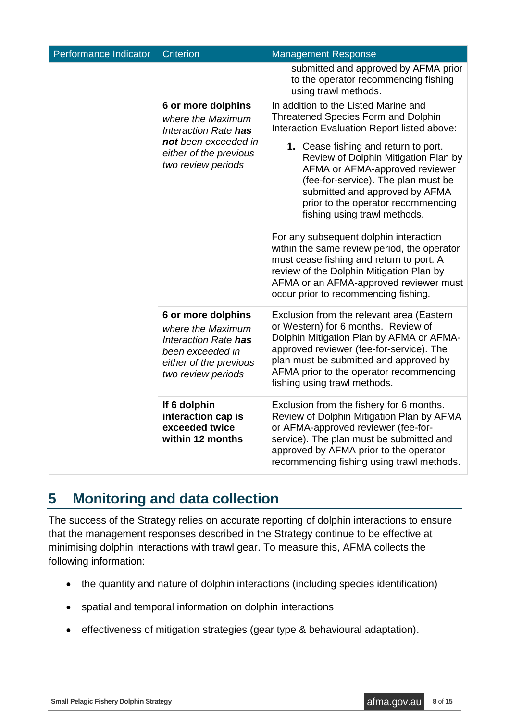| Performance Indicator | <b>Criterion</b>                                                                                                                        | <b>Management Response</b>                                                                                                                                                                                                                                                                                                                                                                                                                                                                                                                                                                                                                                            |
|-----------------------|-----------------------------------------------------------------------------------------------------------------------------------------|-----------------------------------------------------------------------------------------------------------------------------------------------------------------------------------------------------------------------------------------------------------------------------------------------------------------------------------------------------------------------------------------------------------------------------------------------------------------------------------------------------------------------------------------------------------------------------------------------------------------------------------------------------------------------|
|                       |                                                                                                                                         | submitted and approved by AFMA prior<br>to the operator recommencing fishing<br>using trawl methods.                                                                                                                                                                                                                                                                                                                                                                                                                                                                                                                                                                  |
|                       | 6 or more dolphins<br>where the Maximum<br>Interaction Rate has<br>not been exceeded in<br>either of the previous<br>two review periods | In addition to the Listed Marine and<br><b>Threatened Species Form and Dolphin</b><br>Interaction Evaluation Report listed above:<br>1. Cease fishing and return to port.<br>Review of Dolphin Mitigation Plan by<br>AFMA or AFMA-approved reviewer<br>(fee-for-service). The plan must be<br>submitted and approved by AFMA<br>prior to the operator recommencing<br>fishing using trawl methods.<br>For any subsequent dolphin interaction<br>within the same review period, the operator<br>must cease fishing and return to port. A<br>review of the Dolphin Mitigation Plan by<br>AFMA or an AFMA-approved reviewer must<br>occur prior to recommencing fishing. |
|                       | 6 or more dolphins<br>where the Maximum<br>Interaction Rate has<br>been exceeded in<br>either of the previous<br>two review periods     | Exclusion from the relevant area (Eastern<br>or Western) for 6 months. Review of<br>Dolphin Mitigation Plan by AFMA or AFMA-<br>approved reviewer (fee-for-service). The<br>plan must be submitted and approved by<br>AFMA prior to the operator recommencing<br>fishing using trawl methods.                                                                                                                                                                                                                                                                                                                                                                         |
|                       | If 6 dolphin<br>interaction cap is<br>exceeded twice<br>within 12 months                                                                | Exclusion from the fishery for 6 months.<br>Review of Dolphin Mitigation Plan by AFMA<br>or AFMA-approved reviewer (fee-for-<br>service). The plan must be submitted and<br>approved by AFMA prior to the operator<br>recommencing fishing using trawl methods.                                                                                                                                                                                                                                                                                                                                                                                                       |

## <span id="page-7-0"></span>**5 Monitoring and data collection**

The success of the Strategy relies on accurate reporting of dolphin interactions to ensure that the management responses described in the Strategy continue to be effective at minimising dolphin interactions with trawl gear. To measure this, AFMA collects the following information:

- the quantity and nature of dolphin interactions (including species identification)
- spatial and temporal information on dolphin interactions
- effectiveness of mitigation strategies (gear type & behavioural adaptation).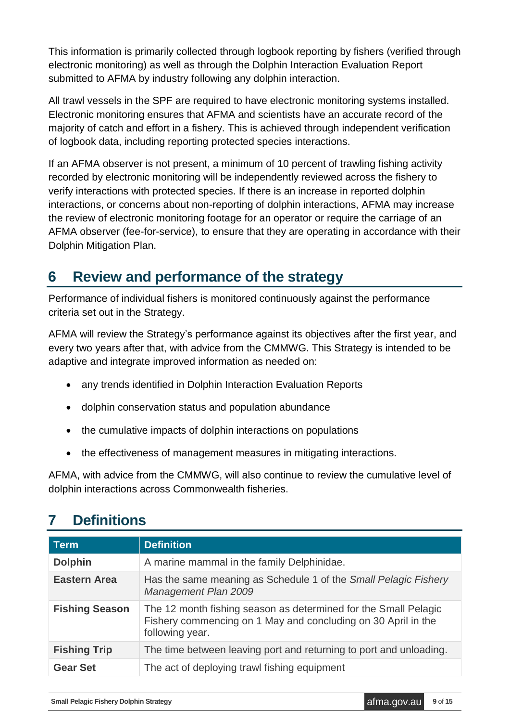This information is primarily collected through logbook reporting by fishers (verified through electronic monitoring) as well as through the Dolphin Interaction Evaluation Report submitted to AFMA by industry following any dolphin interaction.

All trawl vessels in the SPF are required to have electronic monitoring systems installed. Electronic monitoring ensures that AFMA and scientists have an accurate record of the majority of catch and effort in a fishery. This is achieved through independent verification of logbook data, including reporting protected species interactions.

If an AFMA observer is not present, a minimum of 10 percent of trawling fishing activity recorded by electronic monitoring will be independently reviewed across the fishery to verify interactions with protected species. If there is an increase in reported dolphin interactions, or concerns about non-reporting of dolphin interactions, AFMA may increase the review of electronic monitoring footage for an operator or require the carriage of an AFMA observer (fee-for-service), to ensure that they are operating in accordance with their Dolphin Mitigation Plan.

## <span id="page-8-0"></span>**6 Review and performance of the strategy**

Performance of individual fishers is monitored continuously against the performance criteria set out in the Strategy.

AFMA will review the Strategy's performance against its objectives after the first year, and every two years after that, with advice from the CMMWG. This Strategy is intended to be adaptive and integrate improved information as needed on:

- any trends identified in Dolphin Interaction Evaluation Reports
- dolphin conservation status and population abundance
- the cumulative impacts of dolphin interactions on populations
- the effectiveness of management measures in mitigating interactions.

AFMA, with advice from the CMMWG, will also continue to review the cumulative level of dolphin interactions across Commonwealth fisheries.

## <span id="page-8-1"></span>**7 Definitions**

| <b>Term</b>           | <b>Definition</b>                                                                                                                                   |  |  |
|-----------------------|-----------------------------------------------------------------------------------------------------------------------------------------------------|--|--|
| <b>Dolphin</b>        | A marine mammal in the family Delphinidae.                                                                                                          |  |  |
| <b>Eastern Area</b>   | Has the same meaning as Schedule 1 of the Small Pelagic Fishery<br>Management Plan 2009                                                             |  |  |
| <b>Fishing Season</b> | The 12 month fishing season as determined for the Small Pelagic<br>Fishery commencing on 1 May and concluding on 30 April in the<br>following year. |  |  |
| <b>Fishing Trip</b>   | The time between leaving port and returning to port and unloading.                                                                                  |  |  |
| <b>Gear Set</b>       | The act of deploying trawl fishing equipment                                                                                                        |  |  |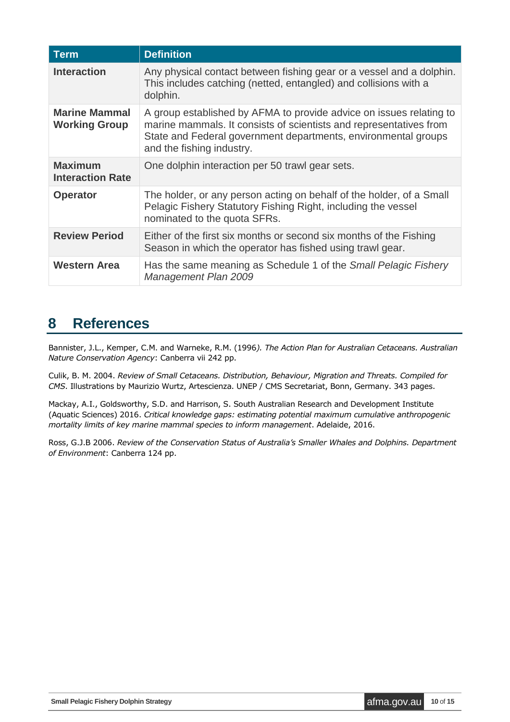| <b>Term</b>                                  | <b>Definition</b>                                                                                                                                                                                                                        |  |  |  |
|----------------------------------------------|------------------------------------------------------------------------------------------------------------------------------------------------------------------------------------------------------------------------------------------|--|--|--|
| <b>Interaction</b>                           | Any physical contact between fishing gear or a vessel and a dolphin.<br>This includes catching (netted, entangled) and collisions with a<br>dolphin.                                                                                     |  |  |  |
| <b>Marine Mammal</b><br><b>Working Group</b> | A group established by AFMA to provide advice on issues relating to<br>marine mammals. It consists of scientists and representatives from<br>State and Federal government departments, environmental groups<br>and the fishing industry. |  |  |  |
| <b>Maximum</b><br><b>Interaction Rate</b>    | One dolphin interaction per 50 trawl gear sets.                                                                                                                                                                                          |  |  |  |
| <b>Operator</b>                              | The holder, or any person acting on behalf of the holder, of a Small<br>Pelagic Fishery Statutory Fishing Right, including the vessel<br>nominated to the quota SFRs.                                                                    |  |  |  |
| <b>Review Period</b>                         | Either of the first six months or second six months of the Fishing<br>Season in which the operator has fished using trawl gear.                                                                                                          |  |  |  |
| <b>Western Area</b>                          | Has the same meaning as Schedule 1 of the Small Pelagic Fishery<br><b>Management Plan 2009</b>                                                                                                                                           |  |  |  |

### <span id="page-9-0"></span>**8 References**

Bannister, J.L., Kemper, C.M. and Warneke, R.M. (1996*). The Action Plan for Australian Cetaceans. Australian Nature Conservation Agency*: Canberra vii 242 pp.

Culik, B. M. 2004. *Review of Small Cetaceans. Distribution, Behaviour, Migration and Threats. Compiled for CMS*. Illustrations by Maurizio Wurtz, Artescienza. UNEP / CMS Secretariat, Bonn, Germany. 343 pages.

Mackay, A.I., Goldsworthy, S.D. and Harrison, S. South Australian Research and Development Institute (Aquatic Sciences) 2016. *Critical knowledge gaps: estimating potential maximum cumulative anthropogenic mortality limits of key marine mammal species to inform management*. Adelaide, 2016.

Ross, G.J.B 2006. *Review of the Conservation Status of Australia's Smaller Whales and Dolphins. Department of Environment*: Canberra 124 pp.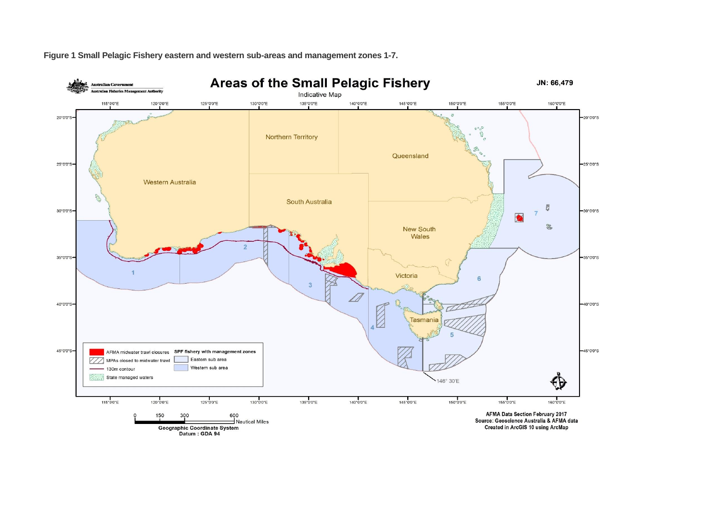

**Figure 1 Small Pelagic Fishery eastern and western sub-areas and management zones 1-7.**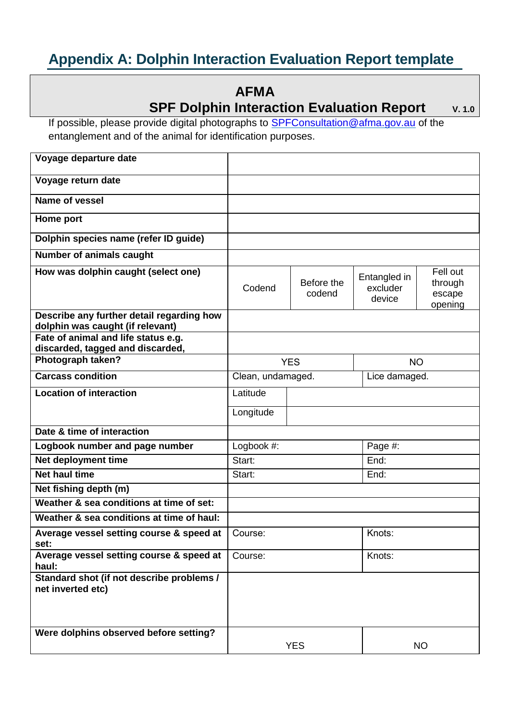## <span id="page-11-0"></span>**Appendix A: Dolphin Interaction Evaluation Report template**

### **AFMA**

### **SPF Dolphin Interaction Evaluation Report**  $V. 1.0$

If possible, please provide digital photographs to [SPFConsultation@afma.gov.au](mailto:SPFConsultation@afma.gov.au) of the entanglement and of the animal for identification purposes.

| Voyage departure date                                                         |                   |                      |                                    |                                          |  |
|-------------------------------------------------------------------------------|-------------------|----------------------|------------------------------------|------------------------------------------|--|
| Voyage return date                                                            |                   |                      |                                    |                                          |  |
| <b>Name of vessel</b>                                                         |                   |                      |                                    |                                          |  |
| Home port                                                                     |                   |                      |                                    |                                          |  |
| Dolphin species name (refer ID guide)                                         |                   |                      |                                    |                                          |  |
| <b>Number of animals caught</b>                                               |                   |                      |                                    |                                          |  |
| How was dolphin caught (select one)                                           | Codend            | Before the<br>codend | Entangled in<br>excluder<br>device | Fell out<br>through<br>escape<br>opening |  |
| Describe any further detail regarding how<br>dolphin was caught (if relevant) |                   |                      |                                    |                                          |  |
| Fate of animal and life status e.g.                                           |                   |                      |                                    |                                          |  |
| discarded, tagged and discarded,<br>Photograph taken?                         |                   | <b>YES</b>           | <b>NO</b>                          |                                          |  |
| <b>Carcass condition</b>                                                      | Clean, undamaged. |                      |                                    | Lice damaged.                            |  |
| <b>Location of interaction</b>                                                | Latitude          |                      |                                    |                                          |  |
|                                                                               |                   |                      |                                    |                                          |  |
|                                                                               | Longitude         |                      |                                    |                                          |  |
| Date & time of interaction                                                    |                   |                      |                                    |                                          |  |
| Logbook number and page number                                                | Logbook #:        |                      | Page #:                            |                                          |  |
| Net deployment time                                                           | Start:            |                      | End:                               |                                          |  |
| <b>Net haul time</b>                                                          | Start:            |                      | End:                               |                                          |  |
| Net fishing depth (m)                                                         |                   |                      |                                    |                                          |  |
| Weather & sea conditions at time of set:                                      |                   |                      |                                    |                                          |  |
| Weather & sea conditions at time of haul:                                     |                   |                      |                                    |                                          |  |
| Average vessel setting course & speed at<br>set:                              | Course:           |                      | Knots:                             |                                          |  |
| Average vessel setting course & speed at<br>haul:                             | Course:           |                      | Knots:                             |                                          |  |
| Standard shot (if not describe problems /<br>net inverted etc)                |                   |                      |                                    |                                          |  |
| Were dolphins observed before setting?                                        |                   | <b>YES</b>           |                                    | <b>NO</b>                                |  |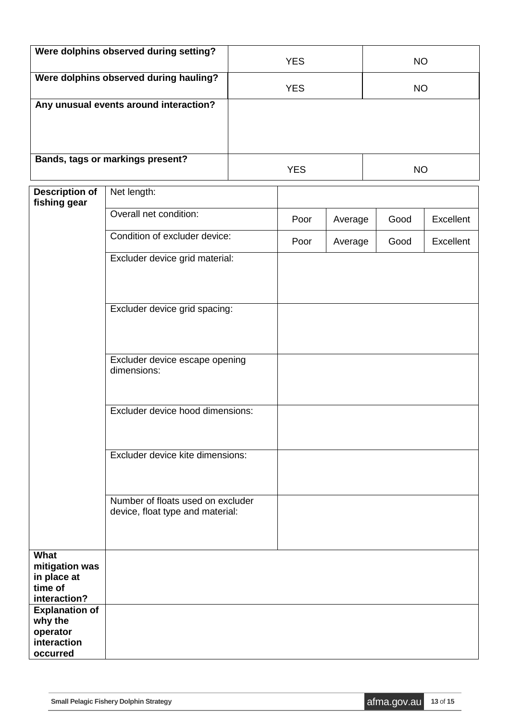| Were dolphins observed during setting? | <b>YES</b> | <b>NO</b> |
|----------------------------------------|------------|-----------|
| Were dolphins observed during hauling? | <b>YES</b> | <b>NO</b> |
| Any unusual events around interaction? |            |           |
| Bands, tags or markings present?       | <b>YES</b> | ΝO        |

| <b>Description of</b><br>fishing gear | Net length:                                                           |      |         |      |           |
|---------------------------------------|-----------------------------------------------------------------------|------|---------|------|-----------|
|                                       | Overall net condition:                                                | Poor | Average | Good | Excellent |
|                                       | Condition of excluder device:                                         | Poor | Average | Good | Excellent |
|                                       | Excluder device grid material:                                        |      |         |      |           |
|                                       | Excluder device grid spacing:                                         |      |         |      |           |
|                                       | Excluder device escape opening<br>dimensions:                         |      |         |      |           |
|                                       | Excluder device hood dimensions:                                      |      |         |      |           |
|                                       | Excluder device kite dimensions:                                      |      |         |      |           |
|                                       | Number of floats used on excluder<br>device, float type and material: |      |         |      |           |
| What                                  |                                                                       |      |         |      |           |
| mitigation was                        |                                                                       |      |         |      |           |
| in place at                           |                                                                       |      |         |      |           |
| time of                               |                                                                       |      |         |      |           |
| interaction?                          |                                                                       |      |         |      |           |
| <b>Explanation of</b>                 |                                                                       |      |         |      |           |
| why the<br>operator                   |                                                                       |      |         |      |           |
| interaction                           |                                                                       |      |         |      |           |
| occurred                              |                                                                       |      |         |      |           |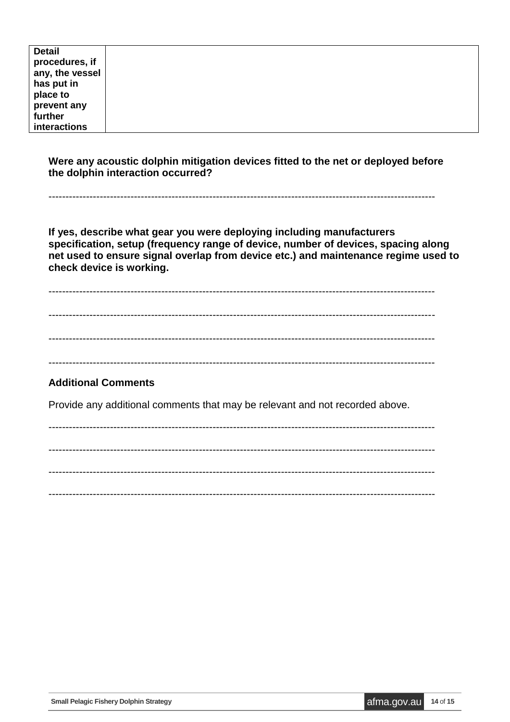| <b>Detail</b>   |  |
|-----------------|--|
| procedures, if  |  |
| any, the vessel |  |
| has put in      |  |
| place to        |  |
| prevent any     |  |
| further         |  |
| interactions    |  |

**Were any acoustic dolphin mitigation devices fitted to the net or deployed before the dolphin interaction occurred?** 

-----------------------------------------------------------------------------------------------------------------

**If yes, describe what gear you were deploying including manufacturers specification, setup (frequency range of device, number of devices, spacing along net used to ensure signal overlap from device etc.) and maintenance regime used to check device is working.** 

-----------------------------------------------------------------------------------------------------------------

-----------------------------------------------------------------------------------------------------------------

-----------------------------------------------------------------------------------------------------------------

-----------------------------------------------------------------------------------------------------------------

#### **Additional Comments**

Provide any additional comments that may be relevant and not recorded above.

----------------------------------------------------------------------------------------------------------------- ----------------------------------------------------------------------------------------------------------------- ----------------------------------------------------------------------------------------------------------------- -----------------------------------------------------------------------------------------------------------------